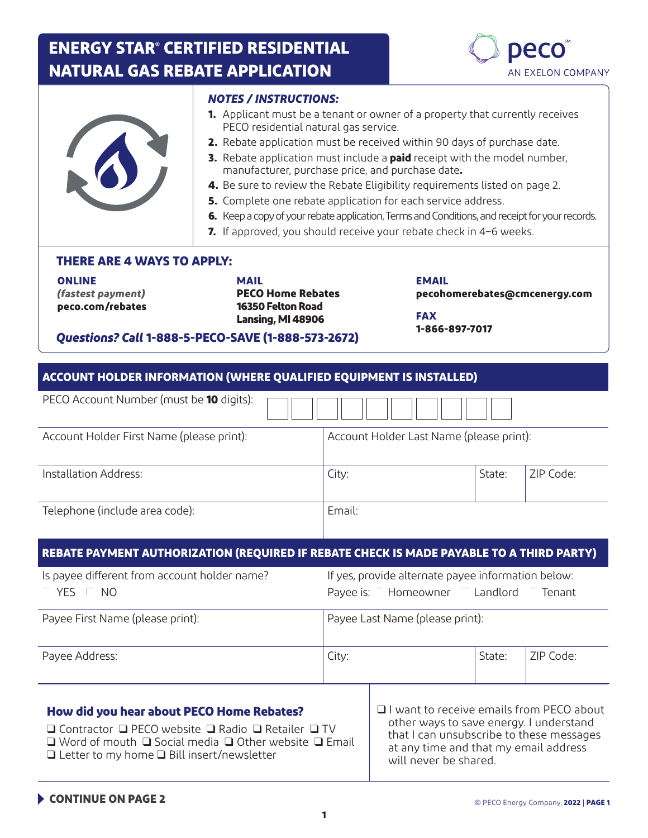# **ENERGY STAR® CERTIFIED RESIDENTIAL NATURAL GAS REBATE APPLICATION**



|                                   | MAIL                                             | <b>EMAIL</b>                                                                                   |
|-----------------------------------|--------------------------------------------------|------------------------------------------------------------------------------------------------|
| <b>THERE ARE 4 WAYS TO APPLY:</b> |                                                  |                                                                                                |
|                                   |                                                  | 7. If approved, you should receive your rebate check in 4-6 weeks.                             |
|                                   |                                                  | 6. Keep a copy of your rebate application, Terms and Conditions, and receipt for your records. |
|                                   |                                                  | 5. Complete one rebate application for each service address.                                   |
|                                   |                                                  | 4. Be sure to review the Rebate Eligibility requirements listed on page 2.                     |
|                                   | manufacturer, purchase price, and purchase date. | 3. Rebate application must include a paid receipt with the model number,                       |
|                                   |                                                  |                                                                                                |
|                                   |                                                  | 2. Rebate application must be received within 90 days of purchase date.                        |
|                                   | PECO residential natural gas service.            | <b>1.</b> Applicant must be a tenant or owner of a property that currently receives            |
|                                   | <b>NOTES / INSTRUCTIONS:</b>                     |                                                                                                |

*(fastest payment)* **peco.com/rebates** **PECO Home Rebates 16350 Felton Road Lansing, MI 48906**

**pecohomerebates@cmcenergy.com**

**FAX 1-866-897-7017**

#### *Questions? Call* **1-888-5-PECO-SAVE (1-888-573-2672)**

| ACCOUNT HOLDER INFORMATION (WHERE QUALIFIED EQUIPMENT IS INSTALLED) |                                          |        |           |  |
|---------------------------------------------------------------------|------------------------------------------|--------|-----------|--|
| PECO Account Number (must be <b>10</b> digits):                     |                                          |        |           |  |
| Account Holder First Name (please print):                           | Account Holder Last Name (please print): |        |           |  |
| Installation Address:                                               | City:                                    | State: | ZIP Code: |  |
| Telephone (include area code):                                      | Email:                                   |        |           |  |

#### **REBATE PAYMENT AUTHORIZATION (REQUIRED IF REBATE CHECK IS MADE PAYABLE TO A THIRD PARTY)**

| Is payee different from account holder name?<br><b>YES</b><br>NO | If yes, provide alternate payee information below:<br>Payee is: $-$ Homeowner<br>Landlord<br>Tenant |        |           |
|------------------------------------------------------------------|-----------------------------------------------------------------------------------------------------|--------|-----------|
| Payee First Name (please print):                                 | Payee Last Name (please print):                                                                     |        |           |
| Payee Address:                                                   | City:                                                                                               | State: | 7IP Code: |

## **How did you hear about PECO Home Rebates?**

❑ Contractor ❑ PECO website ❑ Radio ❑ Retailer ❑ TV ❑ Word of mouth ❑ Social media ❑ Other website ❑ Email ❑ Letter to my home ❑ Bill insert/newsletter

❑ I want to receive emails from PECO about other ways to save energy. I understand that I can unsubscribe to these messages at any time and that my email address will never be shared.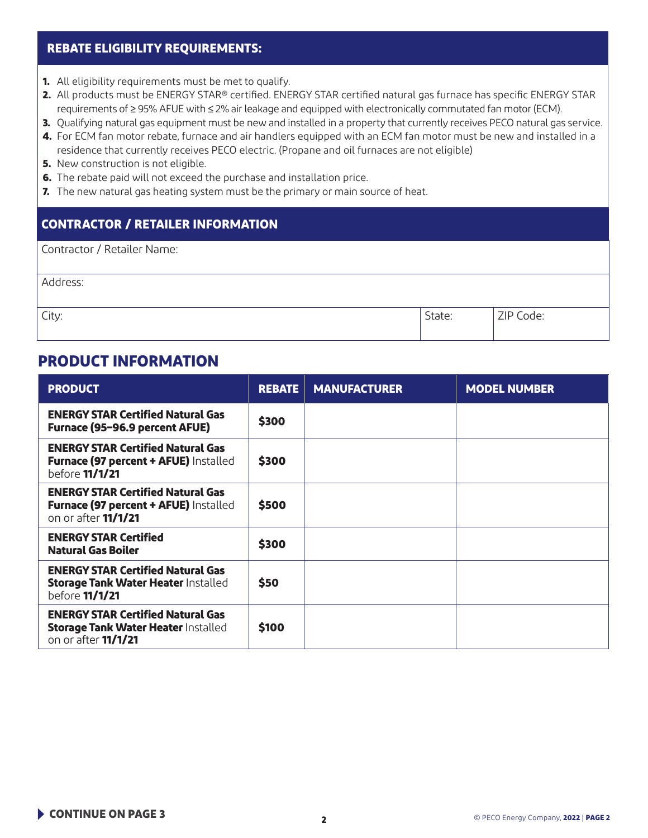#### **REBATE ELIGIBILITY REQUIREMENTS:**

- **1.** All eligibility requirements must be met to qualify.
- **2.** All products must be ENERGY STAR® certified. ENERGY STAR certified natural gas furnace has specific ENERGY STAR requirements of ≥ 95% AFUE with ≤ 2% air leakage and equipped with electronically commutated fan motor (ECM).
- **3.** Qualifying natural gas equipment must be new and installed in a property that currently receives PECO natural gas service.
- **4.** For ECM fan motor rebate, furnace and air handlers equipped with an ECM fan motor must be new and installed in a residence that currently receives PECO electric. (Propane and oil furnaces are not eligible)
- **5.** New construction is not eligible.
- **6.** The rebate paid will not exceed the purchase and installation price.
- **7.** The new natural gas heating system must be the primary or main source of heat.

### **CONTRACTOR / RETAILER INFORMATION**

| Contractor / Retailer Name: |        |           |
|-----------------------------|--------|-----------|
| Address:                    |        |           |
| City:                       | State: | ZIP Code: |

## **PRODUCT INFORMATION**

| <b>PRODUCT</b>                                                                                                       | <b>REBATE</b> | <b>MANUFACTURER</b> | <b>MODEL NUMBER</b> |
|----------------------------------------------------------------------------------------------------------------------|---------------|---------------------|---------------------|
| <b>ENERGY STAR Certified Natural Gas</b><br>Furnace (95-96.9 percent AFUE)                                           | \$300         |                     |                     |
| <b>ENERGY STAR Certified Natural Gas</b><br><b>Furnace (97 percent + AFUE) Installed</b><br>before <b>11/1/21</b>    | \$300         |                     |                     |
| <b>ENERGY STAR Certified Natural Gas</b><br><b>Furnace (97 percent + AFUE) Installed</b><br>on or after 11/1/21      | \$500         |                     |                     |
| <b>ENERGY STAR Certified</b><br><b>Natural Gas Boiler</b>                                                            | \$300         |                     |                     |
| <b>ENERGY STAR Certified Natural Gas</b><br><b>Storage Tank Water Heater Installed</b><br>before <b>11/1/21</b>      | \$50          |                     |                     |
| <b>ENERGY STAR Certified Natural Gas</b><br><b>Storage Tank Water Heater Installed</b><br>on or after <b>11/1/21</b> | \$100         |                     |                     |